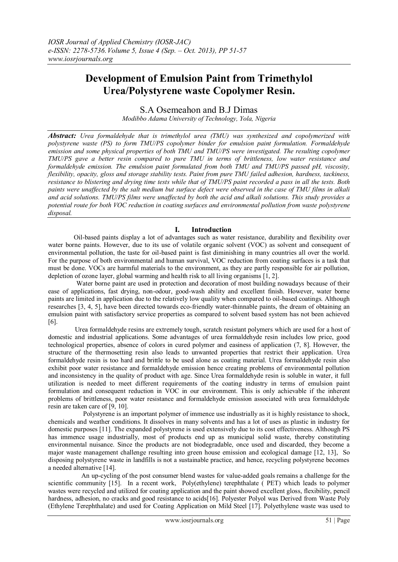# **Development of Emulsion Paint from Trimethylol Urea/Polystyrene waste Copolymer Resin.**

S.A Osemeahon and B.J Dimas

*Modibbo Adama University of Technology, Yola, Nigeria*

*Abstract: Urea formaldehyde that is trimethylol urea (TMU) was synthesized and copolymerized with polystyrene waste (PS) to form TMU/PS copolymer binder for emulsion paint formulation. Formaldehyde emission and some physical properties of both TMU and TMU/PS were investigated. The resulting copolymer TMU/PS gave a better resin compared to pure TMU in terms of brittleness, low water resistance and formaldehyde emission. The emulsion paint formulated from both TMU and TMU/PS passed pH, viscosity, flexibility, opacity, gloss and storage stability tests. Paint from pure TMU failed adhesion, hardness, tackiness, resistance to blistering and drying time tests while that of TMU/PS paint recorded a pass in all the tests. Both paints were unaffected by the salt medium but surface defect were observed in the case of TMU films in alkali and acid solutions. TMU/PS films were unaffected by both the acid and alkali solutions. This study provides a potential route for both VOC reduction in coating surfaces and environmental pollution from waste polystyrene disposal.* 

## **I. Introduction**

Oil-based paints display a lot of advantages such as water resistance, durability and flexibility over water borne paints. However, due to its use of volatile organic solvent (VOC) as solvent and consequent of environmental pollution, the taste for oil-based paint is fast diminishing in many countries all over the world. For the purpose of both environmental and human survival, VOC reduction from coating surfaces is a task that must be done. VOCs are harmful materials to the environment, as they are partly responsible for air pollution, depletion of ozone layer, global warming and health risk to all living organisms [1, 2].

 Water borne paint are used in protection and decoration of most building nowadays because of their ease of applications, fast drying, non-odour, good-wash ability and excellent finish. However, water borne paints are limited in application due to the relatively low quality when compared to oil-based coatings. Although researches [3, 4, 5], have been directed towards eco-friendly water-thinnable paints, the dream of obtaining an emulsion paint with satisfactory service properties as compared to solvent based system has not been achieved [6].

 Urea formaldehyde resins are extremely tough, scratch resistant polymers which are used for a host of domestic and industrial applications. Some advantages of urea formaldehyde resin includes low price, good technological properties, absence of colors in cured polymer and easiness of application (7, 8]. However, the structure of the thermosetting resin also leads to unwanted properties that restrict their application. Urea formaldehyde resin is too hard and brittle to be used alone as coating material. Urea formaldehyde resin also exhibit poor water resistance and formaldehyde emission hence creating problems of environmental pollution and inconsistency in the quality of product with age. Since Urea formaldehyde resin is soluble in water, it full utilization is needed to meet different requirements of the coating industry in terms of emulsion paint formulation and consequent reduction in VOC in our environment. This is only achievable if the inherent problems of brittleness, poor water resistance and formaldehyde emission associated with urea formaldehyde resin are taken care of [9, 10].

 Polystyrene is an important polymer of immence use industrially as it is highly resistance to shock, chemicals and weather conditions. It dissolves in many solvents and has a lot of uses as plastic in industry for domestic purposes [11]. The expanded polystyrene is used extensively due to its cost effectiveness. Although PS has immence usage industrially, most of products end up as municipal solid waste, thereby constituting environmental nuisance. Since the products are not biodegradable, once used and discarded, they become a major waste management challenge resulting into green house emission and ecological damage [12, 13], So disposing polystyrene waste in landfills is not a sustainable practice, and hence, recycling polystyrene becomes a needed alternative [14].

 An up-cycling of the post consumer blend wastes for value-added goals remains a challenge for the scientific community [15]. In a recent work, Poly(ethylene) terephthalate ( PET) which leads to polymer wastes were recycled and utilized for coating application and the paint showed excellent gloss, flexibility, pencil hardness, adhesion, no cracks and good resistance to acids[16]. Polyester Polyol was Derived from Waste Poly (Ethylene Terephthalate) and used for Coating Application on Mild Steel [17]. Polyethylene waste was used to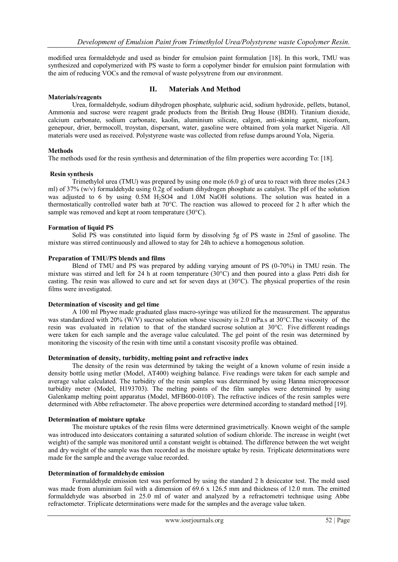modified urea formaldehyde and used as binder for emulsion paint formulation [18]. In this work, TMU was synthesized and copolymerized with PS waste to form a copolymer binder for emulsion paint formulation with the aim of reducing VOCs and the removal of waste polysytrene from our environment.

### **Materials/reagents**

## **II. Materials And Method**

Urea, formaldehyde, sodium dihydrogen phosphate, sulphuric acid, sodium hydroxide, pellets, butanol, Ammonia and sucrose were reagent grade products from the British Drug House (BDH). Titanium dioxide, calcium carbonate, sodium carbonate, kaolin, aluminium silicate, calgon, anti-skining agent, nicofoam, genepour, drier, bermocoll, troystan, dispersant, water, gasoline were obtained from yola market Nigeria. All materials were used as received. Polystyrene waste was collected from refuse dumps around Yola, Nigeria.

#### **Methods**

The methods used for the resin synthesis and determination of the film properties were according To: [18].

#### **Resin synthesis**

Trimethylol urea (TMU) was prepared by using one mole  $(6.0 \text{ g})$  of urea to react with three moles (24.3) ml) of 37% (w/v) formaldehyde using 0.2g of sodium dihydrogen phosphate as catalyst. The pH of the solution was adjusted to 6 by using 0.5M H<sub>2</sub>SO4 and 1.0M NaOH solutions. The solution was heated in a thermostatically controlled water bath at 70°C. The reaction was allowed to proceed for 2 h after which the sample was removed and kept at room temperature (30°C).

## **Formation of liquid PS**

Solid PS was constituted into liquid form by dissolving 5g of PS waste in 25ml of gasoline. The mixture was stirred continuously and allowed to stay for 24h to achieve a homogenous solution.

#### **Preparation of TMU/PS blends and films**

Blend of TMU and PS was prepared by adding varying amount of PS (0-70%) in TMU resin. The mixture was stirred and left for 24 h at room temperature (30°C) and then poured into a glass Petri dish for casting. The resin was allowed to cure and set for seven days at (30°C). The physical properties of the resin films were investigated.

#### **Determination of viscosity and gel time**

A 100 ml Phywe made graduated glass macro-syringe was utilized for the measurement. The apparatus was standardized with 20% (W/V) sucrose solution whose viscosity is 2.0 mPa.s at 30°C. The viscosity of the resin was evaluated in relation to that of the standard sucrose solution at 30°C. Five different readings were taken for each sample and the average value calculated. The gel point of the resin was determined by monitoring the viscosity of the resin with time until a constant viscosity profile was obtained.

#### **Determination of density, turbidity, melting point and refractive index**

The density of the resin was determined by taking the weight of a known volume of resin inside a density bottle using metler (Model, AT400) weighing balance. Five readings were taken for each sample and average value calculated. The turbidity of the resin samples was determined by using Hanna microprocessor turbidity meter (Model, H193703). The melting points of the film samples were determined by using Galenkamp melting point apparatus (Model, MFB600-010F). The refractive indices of the resin samples were determined with Abbe refractometer. The above properties were determined according to standard method [19].

### **Determination of moisture uptake**

The moisture uptakes of the resin films were determined gravimetrically. Known weight of the sample was introduced into desiccators containing a saturated solution of sodium chloride. The increase in weight (wet weight) of the sample was monitored until a constant weight is obtained. The difference between the wet weight and dry weight of the sample was then recorded as the moisture uptake by resin. Triplicate determinations were made for the sample and the average value recorded.

#### **Determination of formaldehyde emission**

Formaldehyde emission test was performed by using the standard 2 h desiccator test. The mold used was made from aluminium foil with a dimension of 69.6 x 126.5 mm and thickness of 12.0 mm. The emitted formaldehyde was absorbed in 25.0 ml of water and analyzed by a refractometri technique using Abbe refractometer. Triplicate determinations were made for the samples and the average value taken.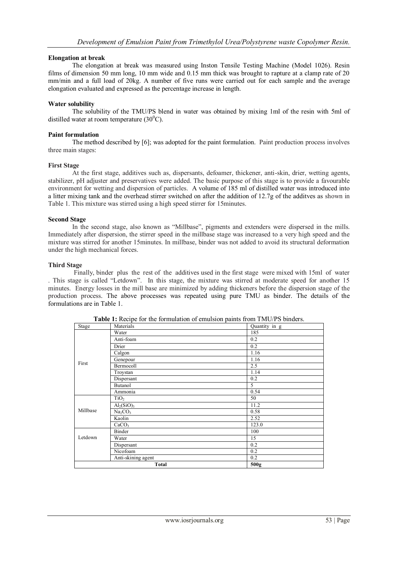## **Elongation at break**

The elongation at break was measured using Inston Tensile Testing Machine (Model 1026). Resin films of dimension 50 mm long, 10 mm wide and 0.15 mm thick was brought to rapture at a clamp rate of 20 mm/min and a full load of 20kg. A number of five runs were carried out for each sample and the average elongation evaluated and expressed as the percentage increase in length.

#### **Water solubility**

The solubility of the TMU/PS blend in water was obtained by mixing 1ml of the resin with 5ml of distilled water at room temperature  $(30^0C)$ .

### **Paint formulation**

The method described by [6]; was adopted for the paint formulation. Paint production process involves three main stages:

#### **First Stage**

At the first stage, additives such as, dispersants, defoamer, thickener, anti-skin, drier, wetting agents, stabilizer, pH adjuster and preservatives were added. The basic purpose of this stage is to provide a favourable environment for wetting and dispersion of particles. A volume of 185 ml of distilled water was introduced into a litter mixing tank and the overhead stirrer switched on after the addition of 12.7g of the additves as shown in Table 1. This mixture was stirred using a high speed stirrer for 15minutes.

#### **Second Stage**

In the second stage, also known as "Millbase", pigments and extenders were dispersed in the mills. Immediately after dispersion, the stirrer speed in the millbase stage was increased to a very high speed and the mixture was stirred for another 15minutes. In millbase, binder was not added to avoid its structural deformation under the high mechanical forces.

#### **Third Stage**

Finally, binder plus the rest of the additives used in the first stage were mixed with 15ml of water . This stage is called "Letdown". In this stage, the mixture was stirred at moderate speed for another 15 minutes. Energy losses in the mill base are minimized by adding thickeners before the dispersion stage of the production process. The above processes was repeated using pure TMU as binder. The details of the formulations are in Table 1.

| Stage        | л.<br>Materials                    | Quantity in g |
|--------------|------------------------------------|---------------|
|              | Water                              | 185           |
| First        | Anti-foam                          | 0.2           |
|              | Drier                              | 0.2           |
|              | Calgon                             | 1.16          |
|              | Genepour                           | 1.16          |
|              | Bermocoll                          | 2.5           |
|              | Troystan                           | 1.14          |
|              | Dispersant                         | 0.2           |
|              | Butanol                            | 5             |
|              | Ammonia                            | 0.54          |
| Millbase     | TiO <sub>2</sub>                   | 50            |
|              | Al <sub>2</sub> (SiO) <sub>3</sub> | 11.2          |
|              | Na <sub>2</sub> CO <sub>3</sub>    | 0.58          |
|              | Kaolin                             | 2.52          |
|              | CaCO <sub>3</sub>                  | 123.0         |
| Letdown      | Binder                             | 100           |
|              | Water                              | 15            |
|              | Dispersant                         | 0.2           |
|              | Nicofoam                           | 0.2           |
|              | Anti-skining agent                 | 0.2           |
| <b>Total</b> |                                    | 500g          |

Table 1: Recipe for the formulation of emulsion paints from TMU/PS binders.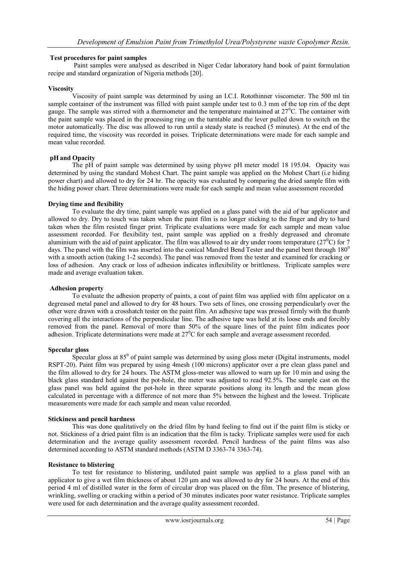## **Test procedures for paint samples**

Paint samples were analysed as described in Niger Cedar laboratory hand book of paint formulation recipe and standard organization of Nigeria methods [20].

## **Viscosity**

Viscosity of paint sample was determined by using an I.C.I. Rotothinner viscometer. The 500 ml tin sample container of the instrument was filled with paint sample under test to 0.3 mm of the top rim of the dept gauge. The sample was stirred with a thermometer and the temperature maintained at  $27^{\circ}$ C. The container with the paint sample was placed in the processing ring on the turntable and the lever pulled down to switch on the motor automatically. The disc was allowed to run until a steady state is reached (5 minutes). At the end of the required time, the viscosity was recorded in poises. Triplicate determinations were made for each sample and mean value recorded.

## **pH and Opacity**

The pH of paint sample was determined by using phywe pH meter model 18 195.04. Opacity was determined by using the standard Mohest Chart. The paint sample was applied on the Mohest Chart (i.e hiding power chart) and allowed to dry for 24 hr. The opacity was evaluated by comparing the dried sample film with the hiding power chart. Three determinations were made for each sample and mean value assessment recorded

## **Drying time and flexibility**

To evaluate the dry time, paint sample was applied on a glass panel with the aid of bar applicator and allowed to dry. Dry to touch was taken when the paint film is no longer sticking to the finger and dry to hard taken when the film resisted finger print. Triplicate evaluations were made for each sample and mean value assessment recorded. For flexibility test, paint sample was applied on a freshly degreased and chromate aluminium with the aid of paint applicator. The film was allowed to air dry under room temperature ( $27^{\circ}$ C) for 7 days. The panel with the film was inserted into the conical Mandrel Bend Tester and the panel bent through 180<sup>0</sup> with a smooth action (taking 1-2 seconds). The panel was removed from the tester and examined for cracking or loss of adhesion. Any crack or loss of adhesion indicates inflexibility or brittleness. Triplicate samples were made and average evaluation taken.

#### **Adhesion property**

To evaluate the adhesion property of paints, a coat of paint film was applied with film applicator on a degreased metal panel and allowed to dry for 48 hours. Two sets of lines, one crossing perpendicularly over the other were drawn with a crosshatch tester on the paint film. An adhesive tape was pressed firmly with the thumb covering all the interactions of the perpendicular line. The adhesive tape was held at its loose ends and forcibly removed from the panel. Removal of more than 50% of the square lines of the paint film indicates poor adhesion. Triplicate determinations were made at 27<sup>°</sup>C for each sample and average assessment recorded.

#### **Specular gloss**

Specular gloss at  $85^{\circ}$  of paint sample was determined by using gloss meter (Digital instruments, model RSPT-20). Paint film was prepared by using 4mesh (100 microns) applicator over a pre clean glass panel and the film allowed to dry for 24 hours. The ASTM gloss-meter was allowed to warn up for 10 min and using the black glass standard held against the pot-hole, the meter was adjusted to read 92.5%. The sample cast on the glass panel was held against the pot-hole in three separate positions along its length and the mean gloss calculated in percentage with a difference of not more than 5% between the highest and the lowest. Triplicate measurements were made for each sample and mean value recorded.

#### **Stickiness and pencil hardness**

This was done qualitatively on the dried film by hand feeling to find out if the paint film is sticky or not. Stickiness of a dried paint film is an indication that the film is tacky. Triplicate samples were used for each determination and the average quality assessment recorded. Pencil hardness of the paint films was also determined according to ASTM standard methods (ASTM D 3363-74 3363-74).

#### **Resistance to blistering**

To test for resistance to blistering, undiluted paint sample was applied to a glass panel with an applicator to give a wet film thickness of about 120 μm and was allowed to dry for 24 hours. At the end of this period 4 ml of distilled water in the form of circular drop was placed on the film. The presence of blistering, wrinkling, swelling or cracking within a period of 30 minutes indicates poor water resistance. Triplicate samples were used for each determination and the average quality assessment recorded.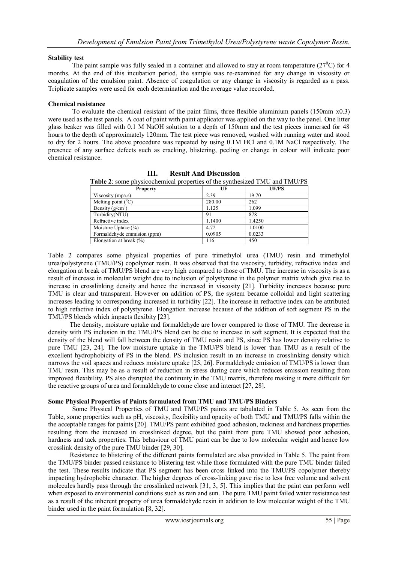## **Stability test**

The paint sample was fully sealed in a container and allowed to stay at room temperature ( $27^{\circ}$ C) for 4 months. At the end of this incubation period, the sample was re-examined for any change in viscosity or coagulation of the emulsion paint. Absence of coagulation or any change in viscosity is regarded as a pass. Triplicate samples were used for each determination and the average value recorded.

## **Chemical resistance**

To evaluate the chemical resistant of the paint films, three flexible aluminium panels (150mm x0.3) were used as the test panels. A coat of paint with paint applicator was applied on the way to the panel. One litter glass beaker was filled with 0.1 M NaOH solution to a depth of 150mm and the test pieces immersed for 48 hours to the depth of approximately 120mm. The test piece was removed, washed with running water and stood to dry for 2 hours. The above procedure was repeated by using 0.1M HCl and 0.1M NaCl respectively. The presence of any surface defects such as cracking, blistering, peeling or change in colour will indicate poor chemical resistance.

| <b>Property</b>             | UF     | UF/PS  |
|-----------------------------|--------|--------|
| Viscosity (mpa.s)           | 2.39   | 19.70  |
| Melting point $(^0C)$       | 280.00 | 262    |
| Density $(g/cm3)$           | 1.125  | 1.099  |
| Turbidity(NTU)              | 91     | 878    |
| Refractive index            | 1.1400 | 1.4250 |
| Moisture Uptake $(\% )$     | 4.72   | 1.0100 |
| Formaldehyde emmision (ppm) | 0.0905 | 0.0233 |
| Elongation at break $(\% )$ | 116    | 450    |

**III. Result And Discussion**

**Table 2**: some physicochemical properties of the synthesized TMU and TMU/PS

Table 2 compares some physical properties of pure trimethylol urea (TMU) resin and trimethylol urea/polystyrene (TMU/PS) copolymer resin. It was observed that the viscosity, turbidity, refractive index and elongation at break of TMU/PS blend are very high compared to those of TMU. The increase in viscosity is as a result of increase in molecular weight due to inclusion of polystyrene in the polymer matrix which give rise to increase in crosslinking density and hence the increased in viscosity [21]. Turbidity increases because pure TMU is clear and transparent. However on addition of PS, the system became colloidal and light scattering increases leading to corresponding increased in turbidity [22]. The increase in refractive index can be attributed to high refactive index of polystyrene. Elongation increase because of the addition of soft segment PS in the TMU/PS blends which impacts flexibity [23].

 The density, moisture uptake and formaldehyde are lower compared to those of TMU. The decrease in density with PS inclusion in the TMU/PS blend can be due to increase in soft segment. It is expected that the density of the blend will fall between the density of TMU resin and PS, since PS has lower density relative to pure TMU [23, 24]. The low moisture uptake in the TMU/PS blend is lower than TMU as a result of the excellent hydrophobicity of PS in the blend. PS inclusion result in an increase in crosslinking density which narrows the voil spaces and reduces moisture uptake [25, 26]. Formaldehyde emission of TMU/PS is lower than TMU resin. This may be as a result of reduction in stress during cure which reduces emission resulting from improved flexibility. PS also disrupted the continuity in the TMU matrix, therefore making it more difficult for the reactive groups of urea and formaldehyde to come close and interact [27, 28].

## **Some Physical Properties of Paints formulated from TMU and TMU/PS Binders**

Some Physical Properties of TMU and TMU/PS paints are tabulated in Table 5. As seen from the Table, some properties such as pH, viscosity, flexibility and opacity of both TMU and TMU/PS falls within the the acceptable ranges for paints [20]. TMU/PS paint exhibited good adhesion, tackiness and hardness properties resulting from the increased in crosslinked degree, but the paint from pure TMU showed poor adhesion, hardness and tack properties. This behaviour of TMU paint can be due to low molecular weight and hence low crosslink density of the pure TMU binder [29, 30].

Resistance to blistering of the different paints formulated are also provided in Table 5. The paint from the TMU/PS binder passed resistance to blistering test while those formulated with the pure TMU binder failed the test. These results indicate that PS segment has been cross linked into the TMU/PS copolymer thereby impacting hydrophobic character. The higher degrees of cross-linking gave rise to less free volume and solvent molecules hardly pass through the crosslinked network [31, 3, 5]. This implies that the paint can perform well when exposed to environmental conditions such as rain and sun. The pure TMU paint failed water resistance test as a result of the inherent property of urea formaldehyde resin in addition to low molecular weight of the TMU binder used in the paint formulation [8, 32].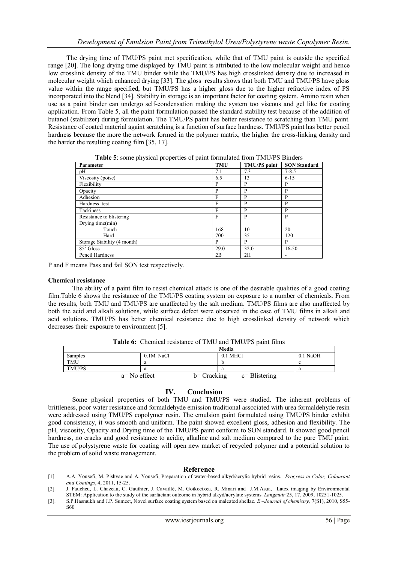The drying time of TMU/PS paint met specification, while that of TMU paint is outside the specified range [20]. The long drying time displayed by TMU paint is attributed to the low molecular weight and hence low crosslink density of the TMU binder while the TMU/PS has high crosslinked density due to increased in molecular weight which enhanced drying [33]. The gloss results shows that both TMU and TMU/PS have gloss value within the range specified, but TMU/PS has a higher gloss due to the higher refractive index of PS incorporated into the blend [34]. Stability in storage is an important factor for coating system. Amino resin when use as a paint binder can undergo self-condensation making the system too viscous and gel like for coating application. From Table 5, all the paint formulation passed the standard stability test because of the addition of butanol (stabilizer) during formulation. The TMU/PS paint has better resistance to scratching than TMU paint. Resistance of coated material againt scratching is a function of surface hardness. TMU/PS paint has better pencil hardness because the more the network formed in the polymer matrix, the higher the cross-linking density and the harder the resulting coating film [35, 17].

| Parameter                   | <b>TMU</b> | <b>TMU/PS</b> paint | <b>SON Standard</b> |
|-----------------------------|------------|---------------------|---------------------|
| pH                          | 7.1        | 7.3                 | $7 - 8.5$           |
| Viscosity (poise)           | 6.5        | 13                  | $6 - 15$            |
| Flexibility                 | P          | P                   | P                   |
| Opacity                     | P          | P                   | P                   |
| Adhesion                    | F          | P                   | P                   |
| Hardness test               | F          | P                   | P                   |
| Tackiness                   | F          | P                   | P                   |
| Resistance to blistering    | F          | P                   | P                   |
| Drying time(min)            |            |                     |                     |
| Touch                       | 168        | 10                  | 20                  |
| Hard                        | 700        | 35                  | 120                 |
| Storage Stability (4 month) | P          | P                   | P                   |
| $85^0$ Gloss                | 29.0       | 32.0                | $16 - 50$           |
| Pencil Hardness             | 2B         | 2H                  |                     |

**Table 5**: some physical properties of paint formulated from TMU/PS Binders

P and F means Pass and fail SON test respectively.

#### **Chemical resistance**

The ability of a paint film to resist chemical attack is one of the desirable qualities of a good coating film.Table 6 shows the resistance of the TMU/PS coating system on exposure to a number of chemicals. From the results, both TMU and TMU/PS are unaffected by the salt medium. TMU/PS films are also unaffected by both the acid and alkali solutions, while surface defect were observed in the case of TMU films in alkali and acid solutions. TMU/PS has better chemical resistance due to high crosslinked density of network which decreases their exposure to environment [5].

|            |                | Media                              |            |
|------------|----------------|------------------------------------|------------|
| Samples    | 0.1M NaCl      | $0.1$ MHCl                         | $0.1$ NaOH |
| <b>TMU</b> | а              |                                    |            |
| TMU/PS     | а              | a                                  |            |
|            | $a=$ No effect | $b = Cracking$<br>$c = Blistering$ |            |

**Table 6:** Chemical resistance of TMU and TMU/PS paint films

## **IV. Conclusion**

Some physical properties of both TMU and TMU/PS were studied. The inherent problems of brittleness, poor water resistance and formaldehyde emission traditional associated with urea formaldehyde resin were addressed using TMU/PS copolymer resin. The emulsion paint formulated using TMU/PS binder exhibit good consistency, it was smooth and uniform. The paint showed excellent gloss, adhesion and flexibility. The pH, viscosity, Opacity and Drying time of the TMU/PS paint conform to SON standard. It showed good pencil hardness, no cracks and good resistance to acidic, alkaline and salt medium compared to the pure TMU paint. The use of polystyrene waste for coating will open new market of recycled polymer and a potential solution to the problem of solid waste management.

#### **Reference**

- [1]. A.A. Yousefi, M. Pishvae and A. Yousefi, Preparation of water-based alkyd/acrylic hybrid resins. *Progress in Color, Colourant and Coatings*, 4, 2011, 15-25.
- [2]. J. Faucheu, L. Chazeau, C. Gauthier, J. Cavaillé, M. Goikoetxea, R. Minari and J.M.Asua, Latex imaging by Environmental STEM: Application to the study of the surfactant outcome in hybrid alkyd/acrylate systems. *Langmuir* 25, 17, 2009, 10251-1025.
- [3]. S.P.Hasmukh and J.P. Sumeet, Novel surface coating system based on maleated shellac. *E –Journal of chemistry,* 7(S1), 2010, S55- S60